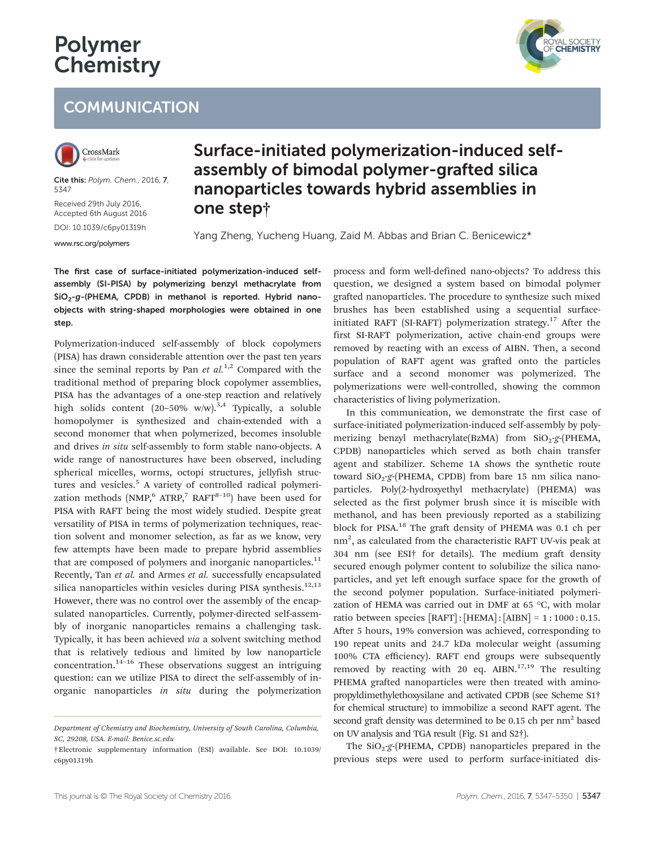# Polymer **Chemistry**

## **COMMUNICATION**



Cite this: Polym. Chem., 2016, 7, 5347

Received 29th July 2016, Accepted 6th August 2016

DOI: 10.1039/c6py01319h <www.rsc.org/polymers>

### Surface-initiated polymerization-induced selfassembly of bimodal polymer-grafted silica nanoparticles towards hybrid assemblies in one step†

Yang Zheng, Yucheng Huang, Zaid M. Abbas and Brian C. Benicewicz\*

The first case of surface-initiated polymerization-induced selfassembly (SI-PISA) by polymerizing benzyl methacrylate from  $SiO<sub>2</sub>-g$ -(PHEMA, CPDB) in methanol is reported. Hybrid nanoobjects with string-shaped morphologies were obtained in one step.

Polymerization-induced self-assembly of block copolymers (PISA) has drawn considerable attention over the past ten years since the seminal reports by Pan *et al.*<sup>1,2</sup> Compared with the traditional method of preparing block copolymer assemblies, PISA has the advantages of a one-step reaction and relatively high solids content  $(20-50\% \text{ w/w})$ .<sup>3,4</sup> Typically, a soluble homopolymer is synthesized and chain-extended with a second monomer that when polymerized, becomes insoluble and drives in situ self-assembly to form stable nano-objects. A wide range of nanostructures have been observed, including spherical micelles, worms, octopi structures, jellyfish structures and vesicles.<sup>5</sup> A variety of controlled radical polymerization methods  $(NMP, 6 ATRP, 7 RAFT^{8-10})$  have been used for PISA with RAFT being the most widely studied. Despite great versatility of PISA in terms of polymerization techniques, reaction solvent and monomer selection, as far as we know, very few attempts have been made to prepare hybrid assemblies that are composed of polymers and inorganic nanoparticles. $^{11}$ Recently, Tan et al. and Armes et al. successfully encapsulated silica nanoparticles within vesicles during PISA synthesis. $12,13$ However, there was no control over the assembly of the encapsulated nanoparticles. Currently, polymer-directed self-assembly of inorganic nanoparticles remains a challenging task. Typically, it has been achieved via a solvent switching method that is relatively tedious and limited by low nanoparticle concentration.14–<sup>16</sup> These observations suggest an intriguing question: can we utilize PISA to direct the self-assembly of inorganic nanoparticles in situ during the polymerization

process and form well-defined nano-objects? To address this question, we designed a system based on bimodal polymer grafted nanoparticles. The procedure to synthesize such mixed brushes has been established using a sequential surfaceinitiated RAFT (SI-RAFT) polymerization strategy. $17$  After the first SI-RAFT polymerization, active chain-end groups were removed by reacting with an excess of AIBN. Then, a second population of RAFT agent was grafted onto the particles surface and a second monomer was polymerized. The polymerizations were well-controlled, showing the common characteristics of living polymerization.

In this communication, we demonstrate the first case of surface-initiated polymerization-induced self-assembly by polymerizing benzyl methacrylate(BzMA) from  $SiO_2-g$ -(PHEMA, CPDB) nanoparticles which served as both chain transfer agent and stabilizer. Scheme 1A shows the synthetic route toward  $SiO<sub>2</sub>-g$ -(PHEMA, CPDB) from bare 15 nm silica nanoparticles. Poly(2-hydroxyethyl methacrylate) (PHEMA) was selected as the first polymer brush since it is miscible with methanol, and has been previously reported as a stabilizing block for PISA.<sup>18</sup> The graft density of PHEMA was 0.1 ch per  $nm<sup>2</sup>$ , as calculated from the characteristic RAFT UV-vis peak at 304 nm (see ESI† for details). The medium graft density secured enough polymer content to solubilize the silica nanoparticles, and yet left enough surface space for the growth of the second polymer population. Surface-initiated polymerization of HEMA was carried out in DMF at 65 °C, with molar ratio between species [RAFT] : [HEMA] : [AIBN] = 1 : 1000 : 0.15. After 5 hours, 19% conversion was achieved, corresponding to 190 repeat units and 24.7 kDa molecular weight (assuming 100% CTA efficiency). RAFT end groups were subsequently removed by reacting with 20 eq.  $AIBN$ .<sup>17,19</sup> The resulting PHEMA grafted nanoparticles were then treated with aminopropyldimethylethoxysilane and activated CPDB (see Scheme S1† for chemical structure) to immobilize a second RAFT agent. The second graft density was determined to be 0.15 ch per  $nm<sup>2</sup>$  based on UV analysis and TGA result (Fig. S1 and S2†).

The  $SiO_2-g$ -(PHEMA, CPDB) nanoparticles prepared in the previous steps were used to perform surface-initiated dis-



Department of Chemistry and Biochemistry, University of South Carolina, Columbia, SC, 29208, USA. E-mail: Benice.sc.edu

<sup>†</sup>Electronic supplementary information (ESI) available. See DOI: 10.1039/ c6py01319h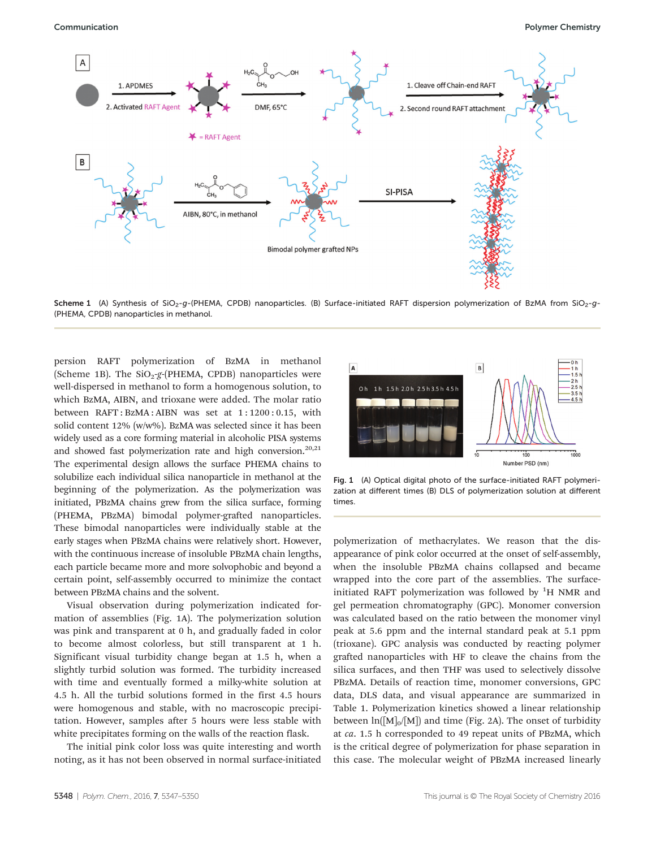

Scheme 1 (A) Synthesis of SiO<sub>2</sub>-q-(PHEMA, CPDB) nanoparticles. (B) Surface-initiated RAFT dispersion polymerization of BzMA from SiO<sub>2</sub>-q-(PHEMA, CPDB) nanoparticles in methanol.

persion RAFT polymerization of BzMA in methanol (Scheme 1B). The  $SiO<sub>2</sub>-g$ -(PHEMA, CPDB) nanoparticles were well-dispersed in methanol to form a homogenous solution, to which BzMA, AIBN, and trioxane were added. The molar ratio between RAFT : BzMA : AIBN was set at 1 : 1200 : 0.15, with solid content 12% (w/w%). BzMA was selected since it has been widely used as a core forming material in alcoholic PISA systems and showed fast polymerization rate and high conversion. $20,21$ The experimental design allows the surface PHEMA chains to solubilize each individual silica nanoparticle in methanol at the beginning of the polymerization. As the polymerization was initiated, PBzMA chains grew from the silica surface, forming (PHEMA, PBzMA) bimodal polymer-grafted nanoparticles. These bimodal nanoparticles were individually stable at the early stages when PBzMA chains were relatively short. However, with the continuous increase of insoluble PBzMA chain lengths, each particle became more and more solvophobic and beyond a certain point, self-assembly occurred to minimize the contact between PBzMA chains and the solvent.

Visual observation during polymerization indicated formation of assemblies (Fig. 1A). The polymerization solution was pink and transparent at 0 h, and gradually faded in color to become almost colorless, but still transparent at 1 h. Significant visual turbidity change began at 1.5 h, when a slightly turbid solution was formed. The turbidity increased with time and eventually formed a milky-white solution at 4.5 h. All the turbid solutions formed in the first 4.5 hours were homogenous and stable, with no macroscopic precipitation. However, samples after 5 hours were less stable with white precipitates forming on the walls of the reaction flask.

The initial pink color loss was quite interesting and worth noting, as it has not been observed in normal surface-initiated



Fig. 1 (A) Optical digital photo of the surface-initiated RAFT polymerization at different times (B) DLS of polymerization solution at different times.

polymerization of methacrylates. We reason that the disappearance of pink color occurred at the onset of self-assembly, when the insoluble PBzMA chains collapsed and became wrapped into the core part of the assemblies. The surfaceinitiated RAFT polymerization was followed by  ${}^{1}H$  NMR and gel permeation chromatography (GPC). Monomer conversion was calculated based on the ratio between the monomer vinyl peak at 5.6 ppm and the internal standard peak at 5.1 ppm (trioxane). GPC analysis was conducted by reacting polymer grafted nanoparticles with HF to cleave the chains from the silica surfaces, and then THF was used to selectively dissolve PBzMA. Details of reaction time, monomer conversions, GPC data, DLS data, and visual appearance are summarized in Table 1. Polymerization kinetics showed a linear relationship between  $\ln([M]_0/[M])$  and time (Fig. 2A). The onset of turbidity at ca. 1.5 h corresponded to 49 repeat units of PBzMA, which is the critical degree of polymerization for phase separation in this case. The molecular weight of PBzMA increased linearly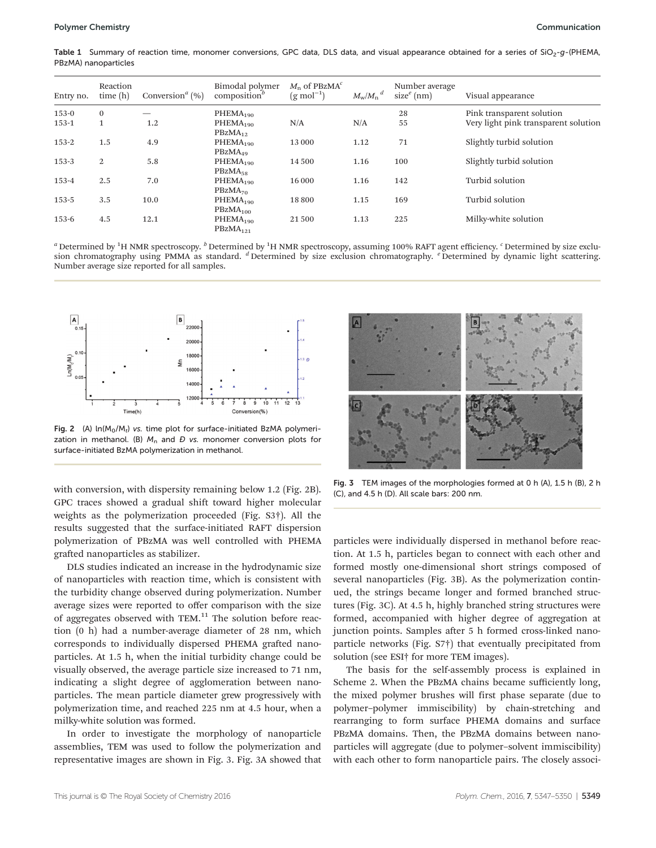Table 1 Summary of reaction time, monomer conversions, GPC data, DLS data, and visual appearance obtained for a series of SiO<sub>2</sub>-g-(PHEMA, PBzMA) nanoparticles

| Entry no. | Reaction<br>time(h) | Conversion <sup><math>a</math></sup> (%) | Bimodal polymer<br>composition $\theta$      | $M_{\rm n}$ of PBzMA <sup><math>c</math></sup><br>$(g \mod^{-1})$ | $M_{\rm w}/M_{\rm n}^{\phantom{1}}^{\phantom{1}}^{\phantom{1}}$ | Number average<br>$sizee$ (nm) | Visual appearance                    |
|-----------|---------------------|------------------------------------------|----------------------------------------------|-------------------------------------------------------------------|-----------------------------------------------------------------|--------------------------------|--------------------------------------|
| $153-0$   | $\bf{0}$            |                                          | PHEMA <sub>190</sub>                         |                                                                   |                                                                 | 28                             | Pink transparent solution            |
| $153 - 1$ | 1                   | 1.2                                      | PHEMA <sub>190</sub><br>$PBzMA_{12}$         | N/A                                                               | N/A                                                             | 55                             | Very light pink transparent solution |
| $153 - 2$ | 1.5                 | 4.9                                      | PHEMA <sub>190</sub><br>$PBZMA_{49}$         | 13 000                                                            | 1.12                                                            | 71                             | Slightly turbid solution             |
| $153 - 3$ | 2                   | 5.8                                      | PHEMA <sub>190</sub><br>$PBzMA_{58}$         | 14 500                                                            | 1.16                                                            | 100                            | Slightly turbid solution             |
| $153 - 4$ | 2.5                 | 7.0                                      | PHEMA <sub>190</sub><br>PBzMA <sub>70</sub>  | 16 000                                                            | 1.16                                                            | 142                            | Turbid solution                      |
| $153 - 5$ | 3.5                 | 10.0                                     | PHEMA <sub>190</sub><br>PBzMA <sub>100</sub> | 18800                                                             | 1.15                                                            | 169                            | Turbid solution                      |
| $153 - 6$ | 4.5                 | 12.1                                     | PHEMA <sub>190</sub><br>PBzMA <sub>121</sub> | 21 500                                                            | 1.13                                                            | 225                            | Milky-white solution                 |

 $^a$  Determined by <sup>1</sup>H NMR spectroscopy.  $^b$  Determined by <sup>1</sup>H NMR spectroscopy, assuming 100% RAFT agent efficiency.  $^c$  Determined by size exclusion chromatography using PMMA as standard.  $d$  Determined by size exclusion chromatography.  $e$  Determined by dynamic light scattering. Number average size reported for all samples.



Fig. 2 (A)  $ln(M_0/M_t)$  vs. time plot for surface-initiated BzMA polymerization in methanol. (B)  $M_n$  and  $D$  vs. monomer conversion plots for surface-initiated BzMA polymerization in methanol.

with conversion, with dispersity remaining below 1.2 (Fig. 2B). GPC traces showed a gradual shift toward higher molecular weights as the polymerization proceeded (Fig. S3†). All the results suggested that the surface-initiated RAFT dispersion polymerization of PBzMA was well controlled with PHEMA grafted nanoparticles as stabilizer.

DLS studies indicated an increase in the hydrodynamic size of nanoparticles with reaction time, which is consistent with the turbidity change observed during polymerization. Number average sizes were reported to offer comparison with the size of aggregates observed with TEM. $<sup>11</sup>$  The solution before reac-</sup> tion (0 h) had a number-average diameter of 28 nm, which corresponds to individually dispersed PHEMA grafted nanoparticles. At 1.5 h, when the initial turbidity change could be visually observed, the average particle size increased to 71 nm, indicating a slight degree of agglomeration between nanoparticles. The mean particle diameter grew progressively with polymerization time, and reached 225 nm at 4.5 hour, when a milky-white solution was formed.

In order to investigate the morphology of nanoparticle assemblies, TEM was used to follow the polymerization and representative images are shown in Fig. 3. Fig. 3A showed that



Fig. 3 TEM images of the morphologies formed at 0 h (A), 1.5 h (B), 2 h (C), and 4.5 h (D). All scale bars: 200 nm.

particles were individually dispersed in methanol before reaction. At 1.5 h, particles began to connect with each other and formed mostly one-dimensional short strings composed of several nanoparticles (Fig. 3B). As the polymerization continued, the strings became longer and formed branched structures (Fig. 3C). At 4.5 h, highly branched string structures were formed, accompanied with higher degree of aggregation at junction points. Samples after 5 h formed cross-linked nanoparticle networks (Fig. S7†) that eventually precipitated from solution (see ESI† for more TEM images).

The basis for the self-assembly process is explained in Scheme 2. When the PBzMA chains became sufficiently long, the mixed polymer brushes will first phase separate (due to polymer–polymer immiscibility) by chain-stretching and rearranging to form surface PHEMA domains and surface PBzMA domains. Then, the PBzMA domains between nanoparticles will aggregate (due to polymer–solvent immiscibility) with each other to form nanoparticle pairs. The closely associ-